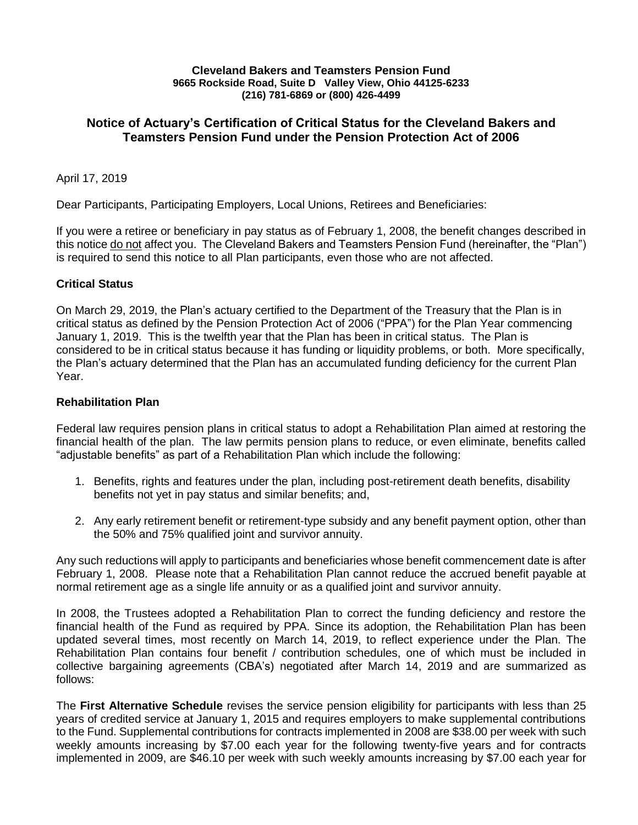#### **Cleveland Bakers and Teamsters Pension Fund 9665 Rockside Road, Suite D Valley View, Ohio 44125-6233 (216) 781-6869 or (800) 426-4499**

## **Notice of Actuary's Certification of Critical Status for the Cleveland Bakers and Teamsters Pension Fund under the Pension Protection Act of 2006**

#### April 17, 2019

Dear Participants, Participating Employers, Local Unions, Retirees and Beneficiaries:

If you were a retiree or beneficiary in pay status as of February 1, 2008, the benefit changes described in this notice do not affect you. The Cleveland Bakers and Teamsters Pension Fund (hereinafter, the "Plan") is required to send this notice to all Plan participants, even those who are not affected.

### **Critical Status**

On March 29, 2019, the Plan's actuary certified to the Department of the Treasury that the Plan is in critical status as defined by the Pension Protection Act of 2006 ("PPA") for the Plan Year commencing January 1, 2019. This is the twelfth year that the Plan has been in critical status. The Plan is considered to be in critical status because it has funding or liquidity problems, or both. More specifically, the Plan's actuary determined that the Plan has an accumulated funding deficiency for the current Plan Year.

#### **Rehabilitation Plan**

Federal law requires pension plans in critical status to adopt a Rehabilitation Plan aimed at restoring the financial health of the plan. The law permits pension plans to reduce, or even eliminate, benefits called "adjustable benefits" as part of a Rehabilitation Plan which include the following:

- 1. Benefits, rights and features under the plan, including post-retirement death benefits, disability benefits not yet in pay status and similar benefits; and,
- 2. Any early retirement benefit or retirement-type subsidy and any benefit payment option, other than the 50% and 75% qualified joint and survivor annuity.

Any such reductions will apply to participants and beneficiaries whose benefit commencement date is after February 1, 2008. Please note that a Rehabilitation Plan cannot reduce the accrued benefit payable at normal retirement age as a single life annuity or as a qualified joint and survivor annuity.

In 2008, the Trustees adopted a Rehabilitation Plan to correct the funding deficiency and restore the financial health of the Fund as required by PPA. Since its adoption, the Rehabilitation Plan has been updated several times, most recently on March 14, 2019, to reflect experience under the Plan. The Rehabilitation Plan contains four benefit / contribution schedules, one of which must be included in collective bargaining agreements (CBA's) negotiated after March 14, 2019 and are summarized as follows:

The **First Alternative Schedule** revises the service pension eligibility for participants with less than 25 years of credited service at January 1, 2015 and requires employers to make supplemental contributions to the Fund. Supplemental contributions for contracts implemented in 2008 are \$38.00 per week with such weekly amounts increasing by \$7.00 each year for the following twenty-five years and for contracts implemented in 2009, are \$46.10 per week with such weekly amounts increasing by \$7.00 each year for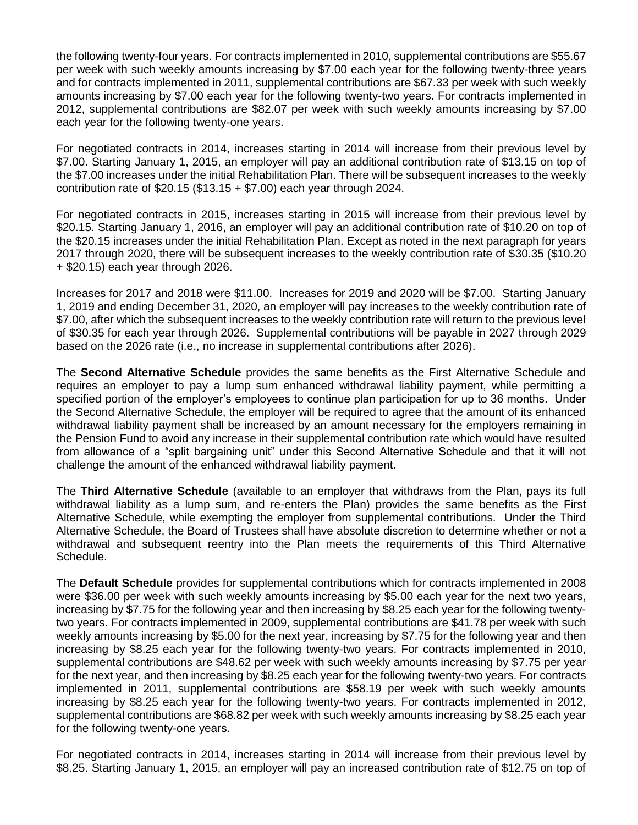the following twenty-four years. For contracts implemented in 2010, supplemental contributions are \$55.67 per week with such weekly amounts increasing by \$7.00 each year for the following twenty-three years and for contracts implemented in 2011, supplemental contributions are \$67.33 per week with such weekly amounts increasing by \$7.00 each year for the following twenty-two years. For contracts implemented in 2012, supplemental contributions are \$82.07 per week with such weekly amounts increasing by \$7.00 each year for the following twenty-one years.

For negotiated contracts in 2014, increases starting in 2014 will increase from their previous level by \$7.00. Starting January 1, 2015, an employer will pay an additional contribution rate of \$13.15 on top of the \$7.00 increases under the initial Rehabilitation Plan. There will be subsequent increases to the weekly contribution rate of \$20.15 (\$13.15 + \$7.00) each year through 2024.

For negotiated contracts in 2015, increases starting in 2015 will increase from their previous level by \$20.15. Starting January 1, 2016, an employer will pay an additional contribution rate of \$10.20 on top of the \$20.15 increases under the initial Rehabilitation Plan. Except as noted in the next paragraph for years 2017 through 2020, there will be subsequent increases to the weekly contribution rate of \$30.35 (\$10.20 + \$20.15) each year through 2026.

Increases for 2017 and 2018 were \$11.00. Increases for 2019 and 2020 will be \$7.00. Starting January 1, 2019 and ending December 31, 2020, an employer will pay increases to the weekly contribution rate of \$7.00, after which the subsequent increases to the weekly contribution rate will return to the previous level of \$30.35 for each year through 2026. Supplemental contributions will be payable in 2027 through 2029 based on the 2026 rate (i.e., no increase in supplemental contributions after 2026).

The **Second Alternative Schedule** provides the same benefits as the First Alternative Schedule and requires an employer to pay a lump sum enhanced withdrawal liability payment, while permitting a specified portion of the employer's employees to continue plan participation for up to 36 months. Under the Second Alternative Schedule, the employer will be required to agree that the amount of its enhanced withdrawal liability payment shall be increased by an amount necessary for the employers remaining in the Pension Fund to avoid any increase in their supplemental contribution rate which would have resulted from allowance of a "split bargaining unit" under this Second Alternative Schedule and that it will not challenge the amount of the enhanced withdrawal liability payment.

The **Third Alternative Schedule** (available to an employer that withdraws from the Plan, pays its full withdrawal liability as a lump sum, and re-enters the Plan) provides the same benefits as the First Alternative Schedule, while exempting the employer from supplemental contributions. Under the Third Alternative Schedule, the Board of Trustees shall have absolute discretion to determine whether or not a withdrawal and subsequent reentry into the Plan meets the requirements of this Third Alternative Schedule.

The **Default Schedule** provides for supplemental contributions which for contracts implemented in 2008 were \$36.00 per week with such weekly amounts increasing by \$5.00 each year for the next two years, increasing by \$7.75 for the following year and then increasing by \$8.25 each year for the following twentytwo years. For contracts implemented in 2009, supplemental contributions are \$41.78 per week with such weekly amounts increasing by \$5.00 for the next year, increasing by \$7.75 for the following year and then increasing by \$8.25 each year for the following twenty-two years. For contracts implemented in 2010, supplemental contributions are \$48.62 per week with such weekly amounts increasing by \$7.75 per year for the next year, and then increasing by \$8.25 each year for the following twenty-two years. For contracts implemented in 2011, supplemental contributions are \$58.19 per week with such weekly amounts increasing by \$8.25 each year for the following twenty-two years. For contracts implemented in 2012, supplemental contributions are \$68.82 per week with such weekly amounts increasing by \$8.25 each year for the following twenty-one years.

For negotiated contracts in 2014, increases starting in 2014 will increase from their previous level by \$8.25. Starting January 1, 2015, an employer will pay an increased contribution rate of \$12.75 on top of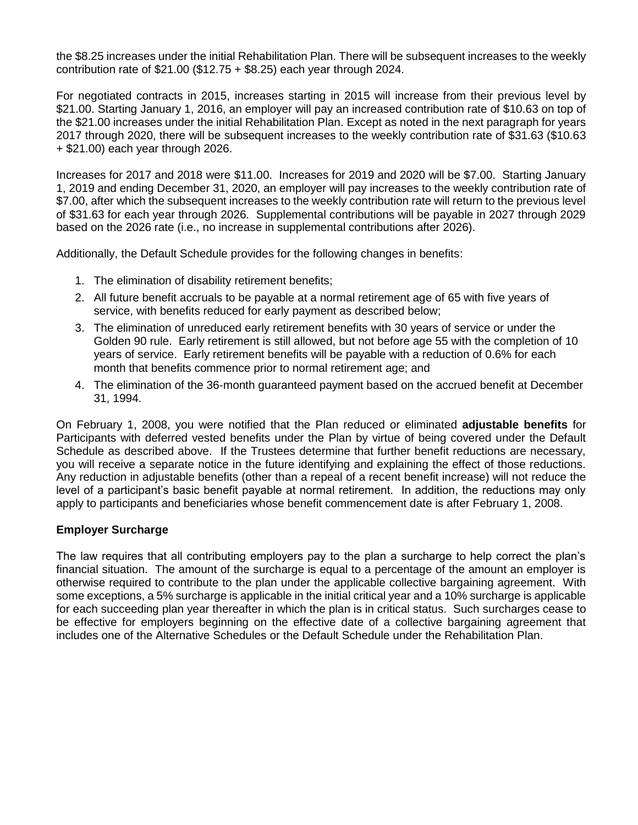the \$8.25 increases under the initial Rehabilitation Plan. There will be subsequent increases to the weekly contribution rate of \$21.00 (\$12.75 + \$8.25) each year through 2024.

For negotiated contracts in 2015, increases starting in 2015 will increase from their previous level by \$21.00. Starting January 1, 2016, an employer will pay an increased contribution rate of \$10.63 on top of the \$21.00 increases under the initial Rehabilitation Plan. Except as noted in the next paragraph for years 2017 through 2020, there will be subsequent increases to the weekly contribution rate of \$31.63 (\$10.63 + \$21.00) each year through 2026.

Increases for 2017 and 2018 were \$11.00. Increases for 2019 and 2020 will be \$7.00. Starting January 1, 2019 and ending December 31, 2020, an employer will pay increases to the weekly contribution rate of \$7.00, after which the subsequent increases to the weekly contribution rate will return to the previous level of \$31.63 for each year through 2026. Supplemental contributions will be payable in 2027 through 2029 based on the 2026 rate (i.e., no increase in supplemental contributions after 2026).

Additionally, the Default Schedule provides for the following changes in benefits:

- 1. The elimination of disability retirement benefits;
- 2. All future benefit accruals to be payable at a normal retirement age of 65 with five years of service, with benefits reduced for early payment as described below;
- 3. The elimination of unreduced early retirement benefits with 30 years of service or under the Golden 90 rule. Early retirement is still allowed, but not before age 55 with the completion of 10 years of service. Early retirement benefits will be payable with a reduction of 0.6% for each month that benefits commence prior to normal retirement age; and
- 4. The elimination of the 36-month guaranteed payment based on the accrued benefit at December 31, 1994.

On February 1, 2008, you were notified that the Plan reduced or eliminated **adjustable benefits** for Participants with deferred vested benefits under the Plan by virtue of being covered under the Default Schedule as described above. If the Trustees determine that further benefit reductions are necessary, you will receive a separate notice in the future identifying and explaining the effect of those reductions. Any reduction in adjustable benefits (other than a repeal of a recent benefit increase) will not reduce the level of a participant's basic benefit payable at normal retirement. In addition, the reductions may only apply to participants and beneficiaries whose benefit commencement date is after February 1, 2008.

### **Employer Surcharge**

The law requires that all contributing employers pay to the plan a surcharge to help correct the plan's financial situation. The amount of the surcharge is equal to a percentage of the amount an employer is otherwise required to contribute to the plan under the applicable collective bargaining agreement. With some exceptions, a 5% surcharge is applicable in the initial critical year and a 10% surcharge is applicable for each succeeding plan year thereafter in which the plan is in critical status. Such surcharges cease to be effective for employers beginning on the effective date of a collective bargaining agreement that includes one of the Alternative Schedules or the Default Schedule under the Rehabilitation Plan.